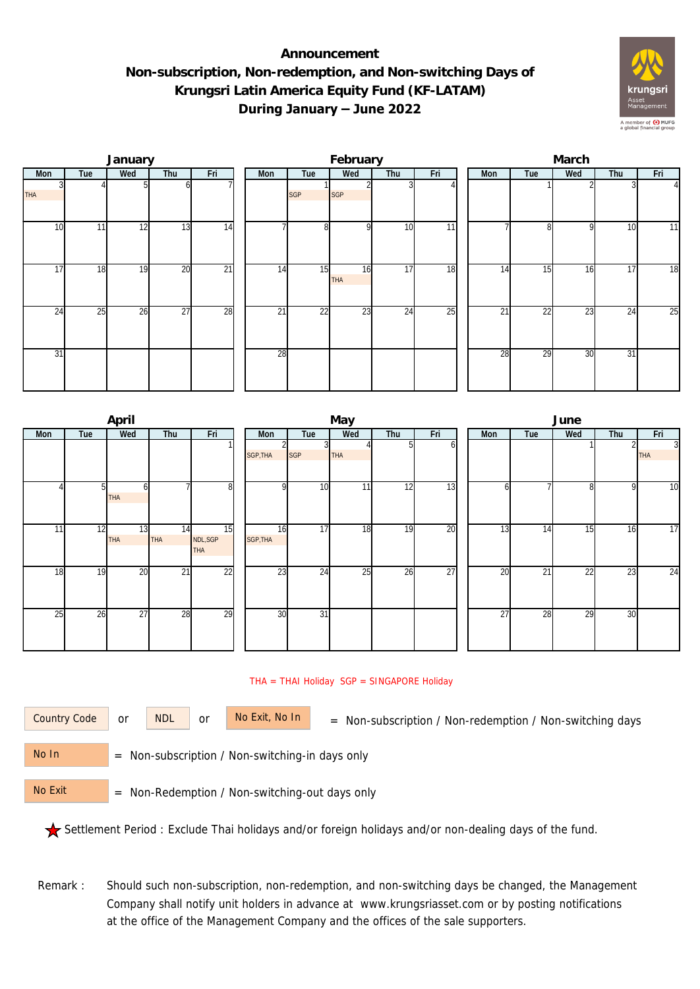## **Announcement Non-subscription, Non-redemption, and Non-switching Days of Krungsri Latin America Equity Fund (KF-LATAM) During January – June 2022**



|                 |     | January |                 |                 |     |            | February   |     |                 | March |                 |     |     |                |  |  |
|-----------------|-----|---------|-----------------|-----------------|-----|------------|------------|-----|-----------------|-------|-----------------|-----|-----|----------------|--|--|
| Mon             | Tue | Wed     | Thu             | Fri             | Mon | Tue        | Wed        | Thu | Fri             | Mon   | Tue             | Wed | Thu | Fri            |  |  |
| <b>THA</b>      |     |         | ωI              |                 |     | <b>SGP</b> | <b>SGP</b> |     |                 |       |                 |     |     | $\overline{4}$ |  |  |
| 10              | 11  | 12      | 13              | 14              |     | 8          | $\Omega$   | 10  | $\overline{11}$ |       | 81              | 9   | 10  | 11             |  |  |
| $1\overline{7}$ | 18  | 19      | 20              | $\overline{21}$ | 14  | 15         | 16<br>THA  | 17  | 18              | 14    | 15              | 16  | 17  | 18             |  |  |
| 24              | 25  | 26      | $\overline{27}$ | 28              | 21  | 22         | 23         | 24  | 25              | 21    | $2\overline{2}$ | 23  | 24  | 25             |  |  |
| $\overline{31}$ |     |         |                 |                 | 28  |            |            |     |                 | 28    | 29              | 30  | 31  |                |  |  |

|     |     | April            |                  |                              |                |                 | May |                 |                 | June            |     |     |     |                              |  |  |
|-----|-----|------------------|------------------|------------------------------|----------------|-----------------|-----|-----------------|-----------------|-----------------|-----|-----|-----|------------------------------|--|--|
| Mon | Tue | Wed              | Thu              | Fri                          | Mon            | Tue             | Wed | Thu             | Fri             | Mon             | Tue | Wed | Thu | Fri                          |  |  |
|     |     |                  |                  |                              | SGP, THA       | <b>SGP</b>      | THA |                 | ΩI              |                 |     |     |     | $\overline{3}$<br><b>THA</b> |  |  |
|     | 51  | h<br><b>THA</b>  |                  | 8                            | Q              | 10              | 11  | $1\overline{2}$ | 13              | h               |     | 8   | 9   | 10                           |  |  |
| 11  | 12  | 13<br><b>THA</b> | 14<br><b>THA</b> | 15<br>NDL, SGP<br><b>THA</b> | 16<br>SGP, THA | $1\overline{7}$ | 18  | 19              | 20              | $\overline{13}$ | 14  | 15  | 16  | 17                           |  |  |
| 18  | 19  | 20               | 21               | 22                           | 23             | 24              | 25  | 26              | $\overline{27}$ | 20              | 21  | 22  | 23  | 24                           |  |  |
| 25  | 26  | 27               | 28               | $\overline{29}$              | 30             | $\overline{31}$ |     |                 |                 | 27              | 28  | 29  | 30  |                              |  |  |

## THA = THAI Holiday SGP = SINGAPORE Holiday

or NDL or

Country Code or NDL or No Exit, No In = Non-subscription / Non-redemption / Non-switching days

 = Non-subscription / Non-switching-in days only No In

 = Non-Redemption / Non-switching-out days only No Exit

Settlement Period : Exclude Thai holidays and/or foreign holidays and/or non-dealing days of the fund.

Remark : Should such non-subscription, non-redemption, and non-switching days be changed, the Management Company shall notify unit holders in advance at www.krungsriasset.com or by posting notifications at the office of the Management Company and the offices of the sale supporters.